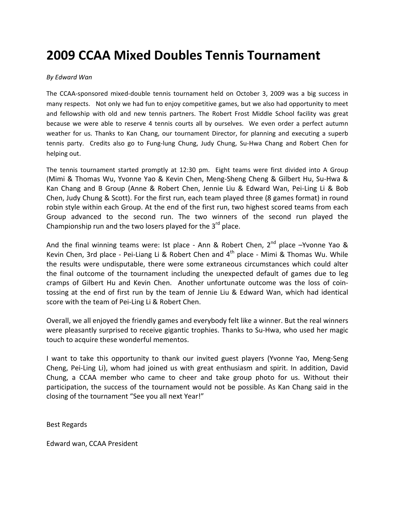## **2009 CCAA Mixed Doubles Tennis Tournament**

## *By Edward Wan*

The CCAA‐sponsored mixed‐double tennis tournament held on October 3, 2009 was a big success in many respects. Not only we had fun to enjoy competitive games, but we also had opportunity to meet and fellowship with old and new tennis partners. The Robert Frost Middle School facility was great because we were able to reserve 4 tennis courts all by ourselves. We even order a perfect autumn weather for us. Thanks to Kan Chang, our tournament Director, for planning and executing a superb tennis party. Credits also go to Fung-lung Chung, Judy Chung, Su-Hwa Chang and Robert Chen for helping out.

The tennis tournament started promptly at 12:30 pm. Eight teams were first divided into A Group (Mimi & Thomas Wu, Yvonne Yao & Kevin Chen, Meng‐Sheng Cheng & Gilbert Hu, Su‐Hwa & Kan Chang and B Group (Anne & Robert Chen, Jennie Liu & Edward Wan, Pei‐Ling Li & Bob Chen, Judy Chung & Scott). For the first run, each team played three (8 games format) in round robin style within each Group. At the end of the first run, two highest scored teams from each Group advanced to the second run. The two winners of the second run played the Championship run and the two losers played for the  $3<sup>rd</sup>$  place.

And the final winning teams were: Ist place - Ann & Robert Chen,  $2^{nd}$  place -Yvonne Yao & Kevin Chen, 3rd place - Pei-Liang Li & Robert Chen and  $4<sup>th</sup>$  place - Mimi & Thomas Wu. While the results were undisputable, there were some extraneous circumstances which could alter the final outcome of the tournament including the unexpected default of games due to leg cramps of Gilbert Hu and Kevin Chen. Another unfortunate outcome was the loss of coin‐ tossing at the end of first run by the team of Jennie Liu & Edward Wan, which had identical score with the team of Pei-Ling Li & Robert Chen.

Overall, we all enjoyed the friendly games and everybody felt like a winner. But the real winners were pleasantly surprised to receive gigantic trophies. Thanks to Su-Hwa, who used her magic touch to acquire these wonderful mementos.

I want to take this opportunity to thank our invited guest players (Yvonne Yao, Meng‐Seng Cheng, Pei‐Ling Li), whom had joined us with great enthusiasm and spirit. In addition, David Chung, a CCAA member who came to cheer and take group photo for us. Without their participation, the success of the tournament would not be possible. As Kan Chang said in the closing of the tournament "See you all next Year!"

Best Regards

Edward wan, CCAA President